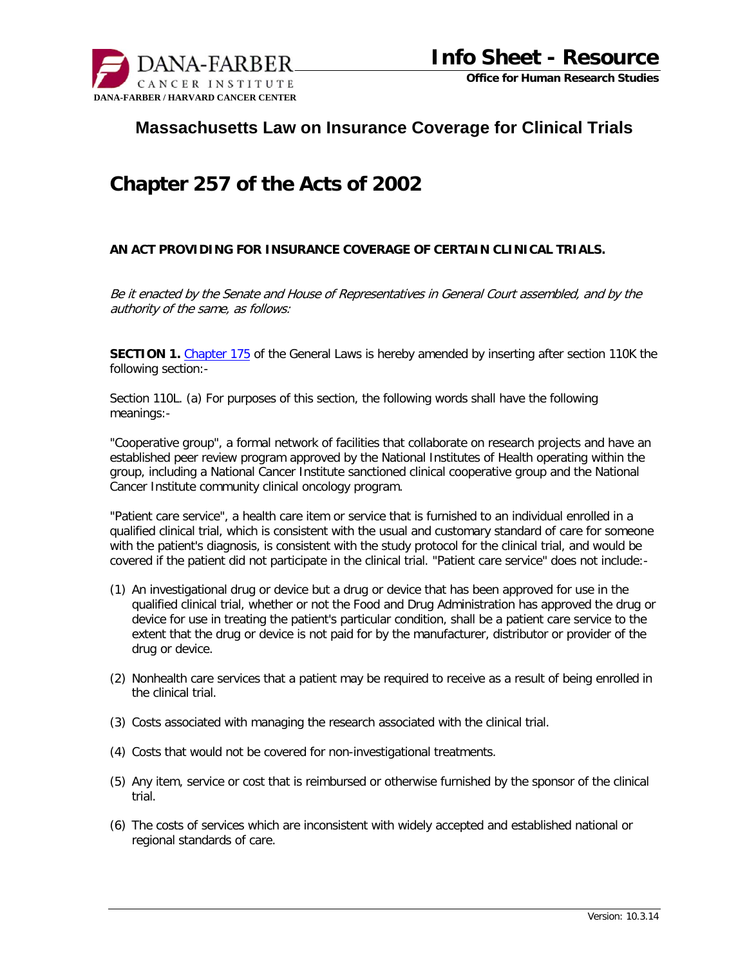

## **Massachusetts Law on Insurance Coverage for Clinical Trials**

## **Chapter 257 of the Acts of 2002**

## **AN ACT PROVIDING FOR INSURANCE COVERAGE OF CERTAIN CLINICAL TRIALS.**

Be it enacted by the Senate and House of Representatives in General Court assembled, and by the authority of the same, as follows:

**SECTION 1.** [Chapter 17](http://www.mass.gov/legis/laws/mgl/gl-175-toc.htm)5 of the General Laws is hereby amended by inserting after section 110K the following section:-

Section 110L. (a) For purposes of this section, the following words shall have the following meanings:-

"Cooperative group", a formal network of facilities that collaborate on research projects and have an established peer review program approved by the National Institutes of Health operating within the group, including a National Cancer Institute sanctioned clinical cooperative group and the National Cancer Institute community clinical oncology program.

"Patient care service", a health care item or service that is furnished to an individual enrolled in a qualified clinical trial, which is consistent with the usual and customary standard of care for someone with the patient's diagnosis, is consistent with the study protocol for the clinical trial, and would be covered if the patient did not participate in the clinical trial. "Patient care service" does not include:-

- (1) An investigational drug or device but a drug or device that has been approved for use in the qualified clinical trial, whether or not the Food and Drug Administration has approved the drug or device for use in treating the patient's particular condition, shall be a patient care service to the extent that the drug or device is not paid for by the manufacturer, distributor or provider of the drug or device.
- (2) Nonhealth care services that a patient may be required to receive as a result of being enrolled in the clinical trial.
- (3) Costs associated with managing the research associated with the clinical trial.
- (4) Costs that would not be covered for non-investigational treatments.
- (5) Any item, service or cost that is reimbursed or otherwise furnished by the sponsor of the clinical trial.
- (6) The costs of services which are inconsistent with widely accepted and established national or regional standards of care.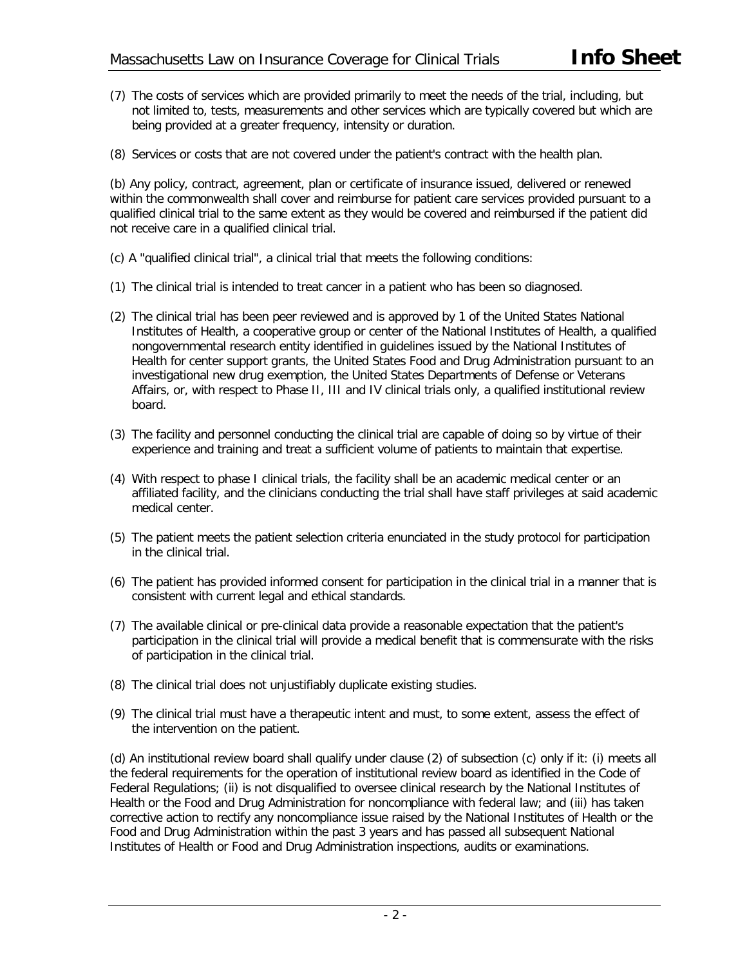- (7) The costs of services which are provided primarily to meet the needs of the trial, including, but not limited to, tests, measurements and other services which are typically covered but which are being provided at a greater frequency, intensity or duration.
- (8) Services or costs that are not covered under the patient's contract with the health plan.

(b) Any policy, contract, agreement, plan or certificate of insurance issued, delivered or renewed within the commonwealth shall cover and reimburse for patient care services provided pursuant to a qualified clinical trial to the same extent as they would be covered and reimbursed if the patient did not receive care in a qualified clinical trial.

- (c) A "qualified clinical trial", a clinical trial that meets the following conditions:
- (1) The clinical trial is intended to treat cancer in a patient who has been so diagnosed.
- (2) The clinical trial has been peer reviewed and is approved by 1 of the United States National Institutes of Health, a cooperative group or center of the National Institutes of Health, a qualified nongovernmental research entity identified in guidelines issued by the National Institutes of Health for center support grants, the United States Food and Drug Administration pursuant to an investigational new drug exemption, the United States Departments of Defense or Veterans Affairs, or, with respect to Phase II, III and IV clinical trials only, a qualified institutional review board.
- (3) The facility and personnel conducting the clinical trial are capable of doing so by virtue of their experience and training and treat a sufficient volume of patients to maintain that expertise.
- (4) With respect to phase I clinical trials, the facility shall be an academic medical center or an affiliated facility, and the clinicians conducting the trial shall have staff privileges at said academic medical center.
- (5) The patient meets the patient selection criteria enunciated in the study protocol for participation in the clinical trial.
- (6) The patient has provided informed consent for participation in the clinical trial in a manner that is consistent with current legal and ethical standards.
- (7) The available clinical or pre-clinical data provide a reasonable expectation that the patient's participation in the clinical trial will provide a medical benefit that is commensurate with the risks of participation in the clinical trial.
- (8) The clinical trial does not unjustifiably duplicate existing studies.
- (9) The clinical trial must have a therapeutic intent and must, to some extent, assess the effect of the intervention on the patient.

(d) An institutional review board shall qualify under clause (2) of subsection (c) only if it: (i) meets all the federal requirements for the operation of institutional review board as identified in the Code of Federal Regulations; (ii) is not disqualified to oversee clinical research by the National Institutes of Health or the Food and Drug Administration for noncompliance with federal law; and (iii) has taken corrective action to rectify any noncompliance issue raised by the National Institutes of Health or the Food and Drug Administration within the past 3 years and has passed all subsequent National Institutes of Health or Food and Drug Administration inspections, audits or examinations.